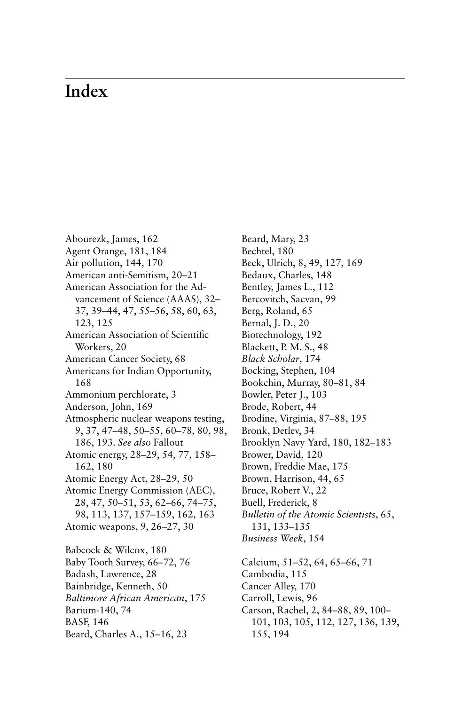## **Index**

Abourezk, James, 162 Agent Orange, 181, 184 Air pollution, 144, 170 American anti-Semitism, 20–21 American Association for the Advancement of Science (AAAS), 32– 37, 39–44, 47, 55–56, 58, 60, 63, 123, 125 American Association of Scientific Workers, 20 American Cancer Society, 68 Americans for Indian Opportunity, 168 Ammonium perchlorate, 3 Anderson, John, 169 Atmospheric nuclear weapons testing, 9, 37, 47–48, 50–55, 60–78, 80, 98, 186, 193. *See also* Fallout Atomic energy, 28–29, 54, 77, 158– 162, 180 Atomic Energy Act, 28–29, 50 Atomic Energy Commission (AEC), 28, 47, 50–51, 53, 62–66, 74–75, 98, 113, 137, 157–159, 162, 163 Atomic weapons, 9, 26–27, 30 Babcock & Wilcox, 180 Baby Tooth Survey, 66–72, 76 Badash, Lawrence, 28 Bainbridge, Kenneth, 50 *Baltimore African American*, 175 Barium-140, 74 BASF, 146 Beard, Charles A., 15–16, 23

Beard, Mary, 23 Bechtel, 180 Beck, Ulrich, 8, 49, 127, 169 Bedaux, Charles, 148 Bentley, James L., 112 Bercovitch, Sacvan, 99 Berg, Roland, 65 Bernal, J. D., 20 Biotechnology, 192 Blackett, P. M. S., 48 *Black Scholar*, 174 Bocking, Stephen, 104 Bookchin, Murray, 80–81, 84 Bowler, Peter J., 103 Brode, Robert, 44 Brodine, Virginia, 87–88, 195 Bronk, Detlev, 34 Brooklyn Navy Yard, 180, 182–183 Brower, David, 120 Brown, Freddie Mae, 175 Brown, Harrison, 44, 65 Bruce, Robert V., 22 Buell, Frederick, 8 *Bulletin of the Atomic Scientists*, 65, 131, 133–135 *Business Week*, 154 Calcium, 51–52, 64, 65–66, 71 Cambodia, 115 Cancer Alley, 170 Carroll, Lewis, 96 Carson, Rachel, 2, 84–88, 89, 100– 101, 103, 105, 112, 127, 136, 139,

155, 194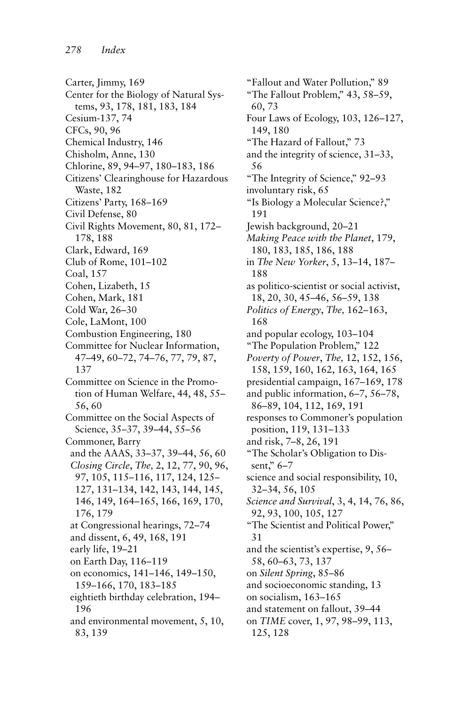Carter, Jimmy, 169 Center for the Biology of Natural Systems, 93, 178, 181, 183, 184 Cesium-137, 74 CFCs, 90, 96 Chemical Industry, 146 Chisholm, Anne, 130 Chlorine, 89, 94–97, 180–183, 186 Citizens' Clearinghouse for Hazardous Waste, 182 Citizens' Party, 168–169 Civil Defense, 80 Civil Rights Movement, 80, 81, 172– 178, 188 Clark, Edward, 169 Club of Rome, 101–102 Coal, 157 Cohen, Lizabeth, 15 Cohen, Mark, 181 Cold War, 26–30 Cole, LaMont, 100 Combustion Engineering, 180 Committee for Nuclear Information, 47–49, 60–72, 74–76, 77, 79, 87, 137 Committee on Science in the Promotion of Human Welfare, 44, 48, 55– 56, 60 Committee on the Social Aspects of Science, 35–37, 39–44, 55–56 Commoner, Barry and the AAAS, 33–37, 39–44, 56, 60 *Closing Circle*, *The,* 2, 12, 77, 90, 96, 97, 105, 115–116, 117, 124, 125– 127, 131–134, 142, 143, 144, 145, 146, 149, 164–165, 166, 169, 170, 176, 179 at Congressional hearings, 72–74 and dissent, 6, 49, 168, 191 early life, 19–21 on Earth Day, 116–119 on economics, 141–146, 149–150, 159–166, 170, 183–185 eightieth birthday celebration, 194– 196 and environmental movement, 5, 10, 83, 139

"Fallout and Water Pollution," 89 "The Fallout Problem," 43, 58–59, 60, 73 Four Laws of Ecology, 103, 126–127, 149, 180 "The Hazard of Fallout," 73 and the integrity of science, 31–33, 56 "The Integrity of Science," 92–93 involuntary risk, 65 "Is Biology a Molecular Science?," 191 Jewish background, 20–21 *Making Peace with the Planet*, 179, 180, 183, 185, 186, 188 in *The New Yorker*, 5, 13–14, 187– 188 as politico-scientist or social activist, 18, 20, 30, 45–46, 56–59, 138 *Politics of Energy*, *The,* 162–163, 168 and popular ecology, 103–104 "The Population Problem," 122 *Poverty of Power*, *The,* 12, 152, 156, 158, 159, 160, 162, 163, 164, 165 presidential campaign, 167–169, 178 and public information, 6–7, 56–78, 86–89, 104, 112, 169, 191 responses to Commoner's population position, 119, 131–133 and risk, 7–8, 26, 191 "The Scholar's Obligation to Dissent," 6–7 science and social responsibility, 10, 32–34, 56, 105 *Science and Survival*, 3, 4, 14, 76, 86, 92, 93, 100, 105, 127 "The Scientist and Political Power," 31 and the scientist's expertise, 9, 56– 58, 60–63, 73, 137 on *Silent Spring*, 85–86 and socioeconomic standing, 13 on socialism, 163–165 and statement on fallout, 39–44 on *TIME* cover, 1, 97, 98–99, 113, 125, 128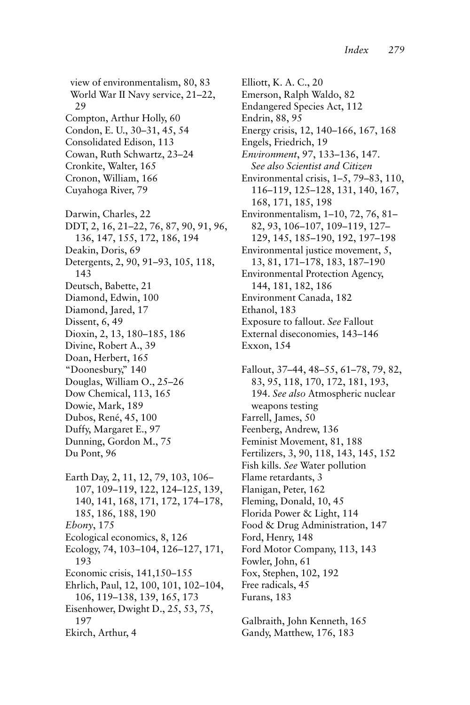view of environmentalism, 80, 83 World War II Navy service, 21–22, 29 Compton, Arthur Holly, 60 Condon, E. U., 30–31, 45, 54 Consolidated Edison, 113 Cowan, Ruth Schwartz, 23–24 Cronkite, Walter, 165 Cronon, William, 166 Cuyahoga River, 79 Darwin, Charles, 22 DDT, 2, 16, 21–22, 76, 87, 90, 91, 96, 136, 147, 155, 172, 186, 194 Deakin, Doris, 69 Detergents, 2, 90, 91–93, 105, 118, 143 Deutsch, Babette, 21 Diamond, Edwin, 100 Diamond, Jared, 17 Dissent, 6, 49 Dioxin, 2, 13, 180–185, 186 Divine, Robert A., 39 Doan, Herbert, 165 "Doonesbury," 140 Douglas, William O., 25–26 Dow Chemical, 113, 165 Dowie, Mark, 189 Dubos, René, 45, 100 Duffy, Margaret E., 97 Dunning, Gordon M., 75 Du Pont, 96 Earth Day, 2, 11, 12, 79, 103, 106– 107, 109–119, 122, 124–125, 139, 140, 141, 168, 171, 172, 174–178, 185, 186, 188, 190 *Ebony*, 175 Ecological economics, 8, 126 Ecology, 74, 103–104, 126–127, 171, 193 Economic crisis, 141,150–155 Ehrlich, Paul, 12, 100, 101, 102–104, 106, 119–138, 139, 165, 173 Eisenhower, Dwight D., 25, 53, 75, 197 Ekirch, Arthur, 4

Elliott, K. A. C., 20 Emerson, Ralph Waldo, 82 Endangered Species Act, 112 Endrin, 88, 95 Energy crisis, 12, 140–166, 167, 168 Engels, Friedrich, 19 *Environment*, 97, 133–136, 147. *See also Scientist and Citizen* Environmental crisis, 1–5, 79–83, 110, 116–119, 125–128, 131, 140, 167, 168, 171, 185, 198 Environmentalism, 1–10, 72, 76, 81– 82, 93, 106–107, 109–119, 127– 129, 145, 185–190, 192, 197–198 Environmental justice movement, 5, 13, 81, 171–178, 183, 187–190 Environmental Protection Agency, 144, 181, 182, 186 Environment Canada, 182 Ethanol, 183 Exposure to fallout. *See* Fallout External diseconomies, 143–146 Exxon, 154

Fallout, 37–44, 48–55, 61–78, 79, 82, 83, 95, 118, 170, 172, 181, 193, 194. *See also* Atmospheric nuclear weapons testing Farrell, James, 50 Feenberg, Andrew, 136 Feminist Movement, 81, 188 Fertilizers, 3, 90, 118, 143, 145, 152 Fish kills. *See* Water pollution Flame retardants, 3 Flanigan, Peter, 162 Fleming, Donald, 10, 45 Florida Power & Light, 114 Food & Drug Administration, 147 Ford, Henry, 148 Ford Motor Company, 113, 143 Fowler, John, 61 Fox, Stephen, 102, 192 Free radicals, 45 Furans, 183

Galbraith, John Kenneth, 165 Gandy, Matthew, 176, 183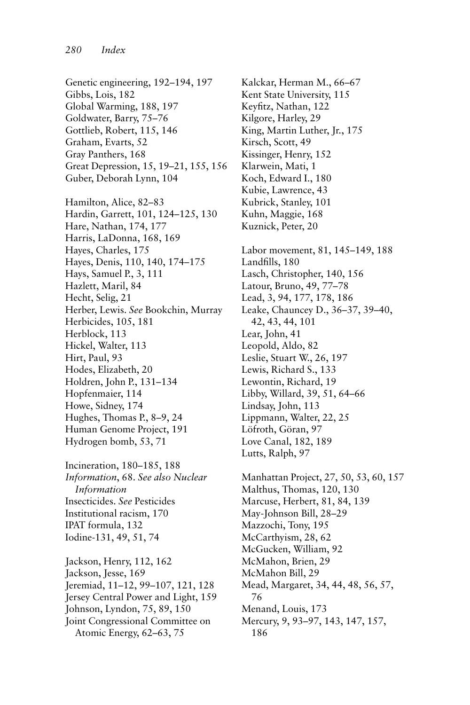Genetic engineering, 192–194, 197 Gibbs, Lois, 182 Global Warming, 188, 197 Goldwater, Barry, 75–76 Gottlieb, Robert, 115, 146 Graham, Evarts, 52 Gray Panthers, 168 Great Depression, 15, 19–21, 155, 156 Guber, Deborah Lynn, 104 Hamilton, Alice, 82–83 Hardin, Garrett, 101, 124–125, 130 Hare, Nathan, 174, 177 Harris, LaDonna, 168, 169 Hayes, Charles, 175 Hayes, Denis, 110, 140, 174–175 Hays, Samuel P., 3, 111 Hazlett, Maril, 84 Hecht, Selig, 21 Herber, Lewis. *See* Bookchin, Murray Herbicides, 105, 181 Herblock, 113 Hickel, Walter, 113 Hirt, Paul, 93 Hodes, Elizabeth, 20 Holdren, John P., 131–134 Hopfenmaier, 114 Howe, Sidney, 174 Hughes, Thomas P., 8–9, 24 Human Genome Project, 191 Hydrogen bomb, 53, 71

Incineration, 180–185, 188 *Information*, 68. *See also Nuclear Information* Insecticides. *See* Pesticides Institutional racism, 170 IPAT formula, 132 Iodine-131, 49, 51, 74

Jackson, Henry, 112, 162 Jackson, Jesse, 169 Jeremiad, 11–12, 99–107, 121, 128 Jersey Central Power and Light, 159 Johnson, Lyndon, 75, 89, 150 Joint Congressional Committee on Atomic Energy, 62–63, 75

Kalckar, Herman M., 66–67 Kent State University, 115 Keyfitz, Nathan, 122 Kilgore, Harley, 29 King, Martin Luther, Jr., 175 Kirsch, Scott, 49 Kissinger, Henry, 152 Klarwein, Mati, 1 Koch, Edward I., 180 Kubie, Lawrence, 43 Kubrick, Stanley, 101 Kuhn, Maggie, 168 Kuznick, Peter, 20 Labor movement, 81, 145–149, 188 Landfills, 180 Lasch, Christopher, 140, 156 Latour, Bruno, 49, 77–78 Lead, 3, 94, 177, 178, 186 Leake, Chauncey D., 36–37, 39–40, 42, 43, 44, 101 Lear, John, 41 Leopold, Aldo, 82 Leslie, Stuart W., 26, 197 Lewis, Richard S., 133 Lewontin, Richard, 19 Libby, Willard, 39, 51, 64–66 Lindsay, John, 113 Lippmann, Walter, 22, 25 Löfroth, Göran, 97 Love Canal, 182, 189 Lutts, Ralph, 97 Manhattan Project, 27, 50, 53, 60, 157 Malthus, Thomas, 120, 130 Marcuse, Herbert, 81, 84, 139 May-Johnson Bill, 28–29 Mazzochi, Tony, 195 McCarthyism, 28, 62 McGucken, William, 92 McMahon, Brien, 29 McMahon Bill, 29 Mead, Margaret, 34, 44, 48, 56, 57, 76 Menand, Louis, 173 Mercury, 9, 93–97, 143, 147, 157, 186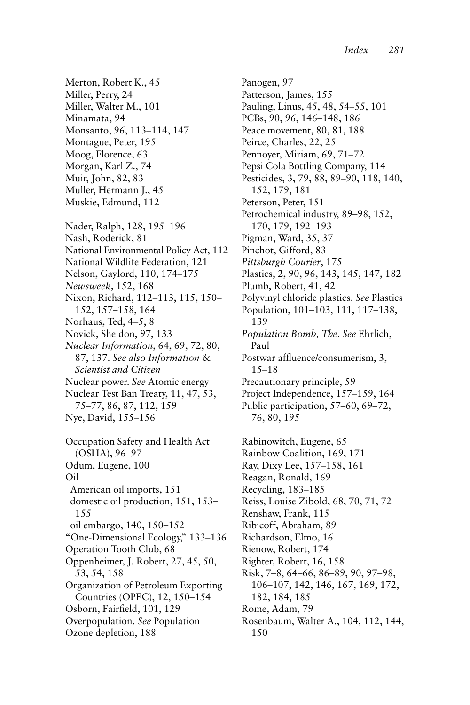Merton, Robert K., 45 Miller, Perry, 24 Miller, Walter M., 101 Minamata, 94 Monsanto, 96, 113–114, 147 Montague, Peter, 195 Moog, Florence, 63 Morgan, Karl Z., 74 Muir, John, 82, 83 Muller, Hermann J., 45 Muskie, Edmund, 112 Nader, Ralph, 128, 195–196 Nash, Roderick, 81 National Environmental Policy Act, 112 National Wildlife Federation, 121 Nelson, Gaylord, 110, 174–175 *Newsweek*, 152, 168 Nixon, Richard, 112–113, 115, 150– 152, 157–158, 164 Norhaus, Ted, 4–5, 8 Novick, Sheldon, 97, 133 *Nuclear Information*, 64, 69, 72, 80, 87, 137. *See also Information* & *Scientist and Citizen* Nuclear power. *See* Atomic energy Nuclear Test Ban Treaty, 11, 47, 53, 75–77, 86, 87, 112, 159 Nye, David, 155–156 Occupation Safety and Health Act (OSHA), 96–97 Odum, Eugene, 100 Oil American oil imports, 151 domestic oil production, 151, 153– 155 oil embargo, 140, 150–152 "One-Dimensional Ecology," 133–136 Operation Tooth Club, 68 Oppenheimer, J. Robert, 27, 45, 50, 53, 54, 158 Organization of Petroleum Exporting Countries (OPEC), 12, 150–154 Osborn, Fairfield, 101, 129 Overpopulation. *See* Population Ozone depletion, 188

Panogen, 97 Patterson, James, 155 Pauling, Linus, 45, 48, 54–55, 101 PCBs, 90, 96, 146–148, 186 Peace movement, 80, 81, 188 Peirce, Charles, 22, 25 Pennoyer, Miriam, 69, 71–72 Pepsi Cola Bottling Company, 114 Pesticides, 3, 79, 88, 89–90, 118, 140, 152, 179, 181 Peterson, Peter, 151 Petrochemical industry, 89–98, 152, 170, 179, 192–193 Pigman, Ward, 35, 37 Pinchot, Gifford, 83 *Pittsburgh Courier*, 175 Plastics, 2, 90, 96, 143, 145, 147, 182 Plumb, Robert, 41, 42 Polyvinyl chloride plastics. *See* Plastics Population, 101–103, 111, 117–138, 139 *Population Bomb, The*. *See* Ehrlich, Paul Postwar affluence/consumerism, 3, 15–18 Precautionary principle, 59 Project Independence, 157–159, 164 Public participation, 57–60, 69–72, 76, 80, 195 Rabinowitch, Eugene, 65 Rainbow Coalition, 169, 171 Ray, Dixy Lee, 157–158, 161 Reagan, Ronald, 169 Recycling, 183–185 Reiss, Louise Zibold, 68, 70, 71, 72 Renshaw, Frank, 115 Ribicoff, Abraham, 89 Richardson, Elmo, 16 Rienow, Robert, 174 Righter, Robert, 16, 158 Risk, 7–8, 64–66, 86–89, 90, 97–98, 106–107, 142, 146, 167, 169, 172, 182, 184, 185 Rome, Adam, 79 Rosenbaum, Walter A., 104, 112, 144, 150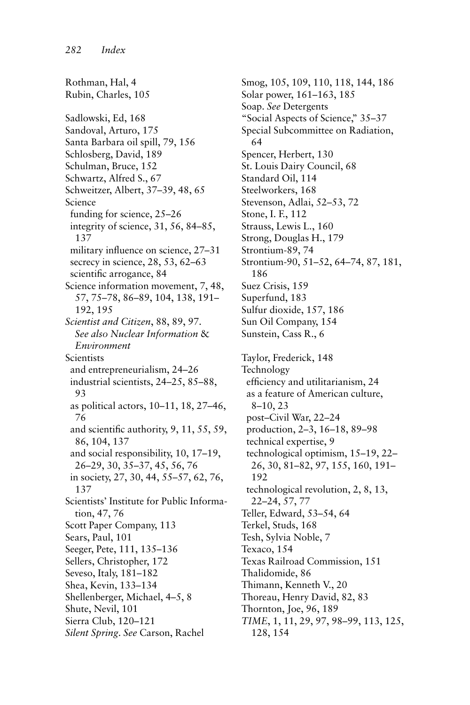Rothman, Hal, 4 Rubin, Charles, 105 Sadlowski, Ed, 168 Sandoval, Arturo, 175 Santa Barbara oil spill, 79, 156 Schlosberg, David, 189 Schulman, Bruce, 152 Schwartz, Alfred S., 67 Schweitzer, Albert, 37–39, 48, 65 Science funding for science, 25–26 integrity of science, 31, 56, 84–85, 137 military influence on science, 27–31 secrecy in science, 28, 53, 62–63 scientific arrogance, 84 Science information movement, 7, 48, 57, 75–78, 86–89, 104, 138, 191– 192, 195 *Scientist and Citizen*, 88, 89, 97. *See also Nuclear Information* & *Environment* **Scientists** and entrepreneurialism, 24–26 industrial scientists, 24–25, 85–88, 93 as political actors, 10–11, 18, 27–46, 76 and scientific authority, 9, 11, 55, 59, 86, 104, 137 and social responsibility, 10, 17–19, 26–29, 30, 35–37, 45, 56, 76 in society, 27, 30, 44, 55–57, 62, 76, 137 Scientists' Institute for Public Information, 47, 76 Scott Paper Company, 113 Sears, Paul, 101 Seeger, Pete, 111, 135–136 Sellers, Christopher, 172 Seveso, Italy, 181–182 Shea, Kevin, 133–134 Shellenberger, Michael, 4–5, 8 Shute, Nevil, 101 Sierra Club, 120–121 *Silent Spring*. *See* Carson, Rachel

Smog, 105, 109, 110, 118, 144, 186 Solar power, 161–163, 185 Soap. *See* Detergents "Social Aspects of Science," 35–37 Special Subcommittee on Radiation, 64 Spencer, Herbert, 130 St. Louis Dairy Council, 68 Standard Oil, 114 Steelworkers, 168 Stevenson, Adlai, 52–53, 72 Stone, I. F., 112 Strauss, Lewis L., 160 Strong, Douglas H., 179 Strontium-89, 74 Strontium-90, 51–52, 64–74, 87, 181, 186 Suez Crisis, 159 Superfund, 183 Sulfur dioxide, 157, 186 Sun Oil Company, 154 Sunstein, Cass R., 6 Taylor, Frederick, 148 Technology efficiency and utilitarianism, 24 as a feature of American culture, 8–10, 23 post–Civil War, 22–24 production, 2–3, 16–18, 89–98 technical expertise, 9 technological optimism, 15–19, 22– 26, 30, 81–82, 97, 155, 160, 191– 192 technological revolution, 2, 8, 13, 22–24, 57, 77 Teller, Edward, 53–54, 64 Terkel, Studs, 168 Tesh, Sylvia Noble, 7 Texaco, 154 Texas Railroad Commission, 151 Thalidomide, 86 Thimann, Kenneth V., 20 Thoreau, Henry David, 82, 83 Thornton, Joe, 96, 189 *TIME*, 1, 11, 29, 97, 98–99, 113, 125, 128, 154